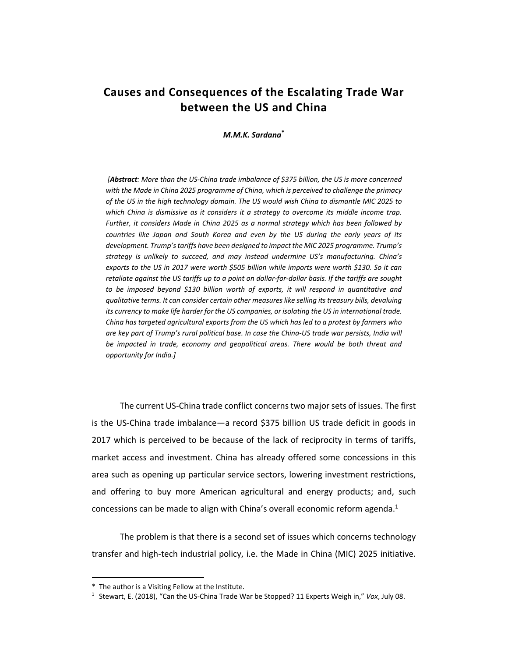## **Causes and Consequences of the Escalating Trade War between the US and China**

*M.M.K. Sardana***\***

 *[Abstract: More than the US‐China trade imbalance of \$375 billion, the US is more concerned*  with the Made in China 2025 programme of China, which is perceived to challenge the primacy *of the US in the high technology domain. The US would wish China to dismantle MIC 2025 to which China is dismissive as it considers it a strategy to overcome its middle income trap. Further, it considers Made in China 2025 as a normal strategy which has been followed by*  countries like Japan and South Korea and even by the US during the early years of its *development. Trump's tariffs have been designed to impact the MIC 2025 programme. Trump's strategy is unlikely to succeed, and may instead undermine US's manufacturing. China's exports to the US in 2017 were worth \$505 billion while imports were worth \$130. So it can retaliate against the US tariffs up to a point on dollar‐for‐dollar basis. If the tariffs are sought to be imposed beyond \$130 billion worth of exports, it will respond in quantitative and qualitative terms. It can consider certain other measures like selling its treasury bills, devaluing its currency to make life harder for the US companies, or isolating the US in international trade. China has targeted agricultural exports from the US which has led to a protest by farmers who are key part of Trump's rural political base. In case the China‐US trade war persists, India will be impacted in trade, economy and geopolitical areas. There would be both threat and opportunity for India.]* 

The current US‐China trade conflict concerns two major sets of issues. The first is the US‐China trade imbalance—a record \$375 billion US trade deficit in goods in 2017 which is perceived to be because of the lack of reciprocity in terms of tariffs, market access and investment. China has already offered some concessions in this area such as opening up particular service sectors, lowering investment restrictions, and offering to buy more American agricultural and energy products; and, such concessions can be made to align with China's overall economic reform agenda.<sup>1</sup>

The problem is that there is a second set of issues which concerns technology transfer and high‐tech industrial policy, i.e. the Made in China (MIC) 2025 initiative.

l

<sup>\*</sup> The author is a Visiting Fellow at the Institute.

<sup>1</sup> Stewart, E. (2018), "Can the US‐China Trade War be Stopped? 11 Experts Weigh in," *Vox*, July 08.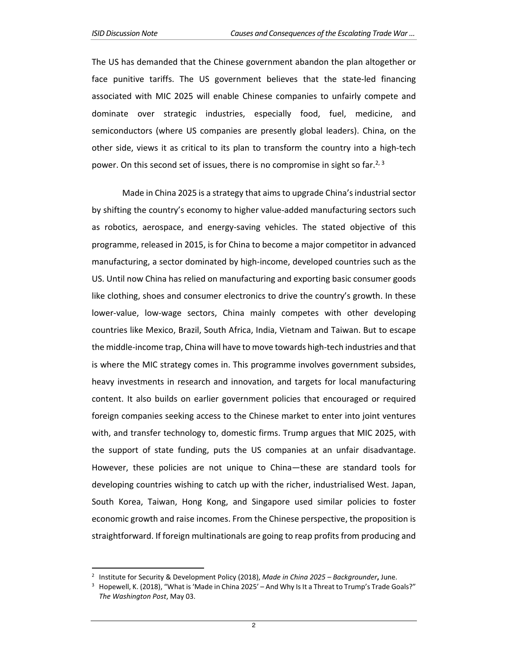$\overline{a}$ 

The US has demanded that the Chinese government abandon the plan altogether or face punitive tariffs. The US government believes that the state-led financing associated with MIC 2025 will enable Chinese companies to unfairly compete and dominate over strategic industries, especially food, fuel, medicine, and semiconductors (where US companies are presently global leaders). China, on the other side, views it as critical to its plan to transform the country into a high-tech power. On this second set of issues, there is no compromise in sight so far.<sup>2, 3</sup>

Made in China 2025 is a strategy that aims to upgrade China's industrial sector by shifting the country's economy to higher value‐added manufacturing sectors such as robotics, aerospace, and energy‐saving vehicles. The stated objective of this programme, released in 2015, is for China to become a major competitor in advanced manufacturing, a sector dominated by high‐income, developed countries such as the US. Until now China has relied on manufacturing and exporting basic consumer goods like clothing, shoes and consumer electronics to drive the country's growth. In these lower-value, low-wage sectors, China mainly competes with other developing countries like Mexico, Brazil, South Africa, India, Vietnam and Taiwan. But to escape the middle‐income trap, China will have to move towards high‐tech industries and that is where the MIC strategy comes in. This programme involves government subsides, heavy investments in research and innovation, and targets for local manufacturing content. It also builds on earlier government policies that encouraged or required foreign companies seeking access to the Chinese market to enter into joint ventures with, and transfer technology to, domestic firms. Trump argues that MIC 2025, with the support of state funding, puts the US companies at an unfair disadvantage. However, these policies are not unique to China—these are standard tools for developing countries wishing to catch up with the richer, industrialised West. Japan, South Korea, Taiwan, Hong Kong, and Singapore used similar policies to foster economic growth and raise incomes. From the Chinese perspective, the proposition is straightforward. If foreign multinationals are going to reap profits from producing and

<sup>2</sup> Institute for Security & Development Policy (2018), *Made in China 2025 – Backgrounder***,** June.

<sup>3</sup> Hopewell, K. (2018), "What is 'Made in China 2025' – And Why Is It a Threat to Trump's Trade Goals?" *The Washington Post*, May 03.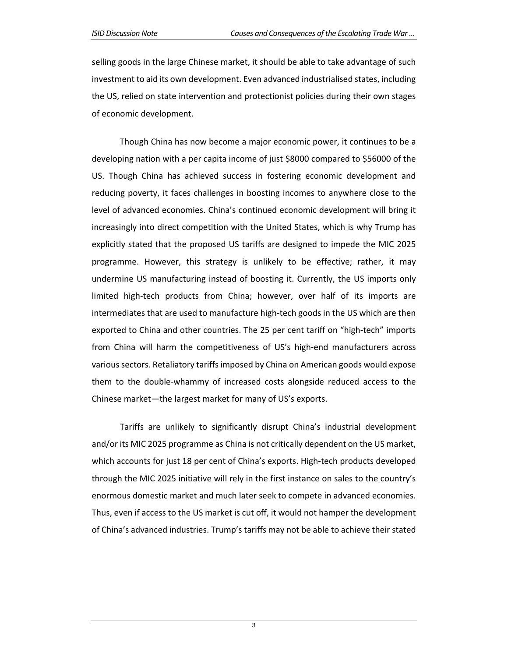selling goods in the large Chinese market, it should be able to take advantage of such investment to aid its own development. Even advanced industrialised states, including the US, relied on state intervention and protectionist policies during their own stages of economic development.

Though China has now become a major economic power, it continues to be a developing nation with a per capita income of just \$8000 compared to \$56000 of the US. Though China has achieved success in fostering economic development and reducing poverty, it faces challenges in boosting incomes to anywhere close to the level of advanced economies. China's continued economic development will bring it increasingly into direct competition with the United States, which is why Trump has explicitly stated that the proposed US tariffs are designed to impede the MIC 2025 programme. However, this strategy is unlikely to be effective; rather, it may undermine US manufacturing instead of boosting it. Currently, the US imports only limited high-tech products from China; however, over half of its imports are intermediates that are used to manufacture high‐tech goods in the US which are then exported to China and other countries. The 25 per cent tariff on "high-tech" imports from China will harm the competitiveness of US's high-end manufacturers across various sectors. Retaliatory tariffs imposed by China on American goods would expose them to the double‐whammy of increased costs alongside reduced access to the Chinese market—the largest market for many of US's exports.

Tariffs are unlikely to significantly disrupt China's industrial development and/or its MIC 2025 programme as China is not critically dependent on the US market, which accounts for just 18 per cent of China's exports. High-tech products developed through the MIC 2025 initiative will rely in the first instance on sales to the country's enormous domestic market and much later seek to compete in advanced economies. Thus, even if access to the US market is cut off, it would not hamper the development of China's advanced industries. Trump's tariffs may not be able to achieve their stated

3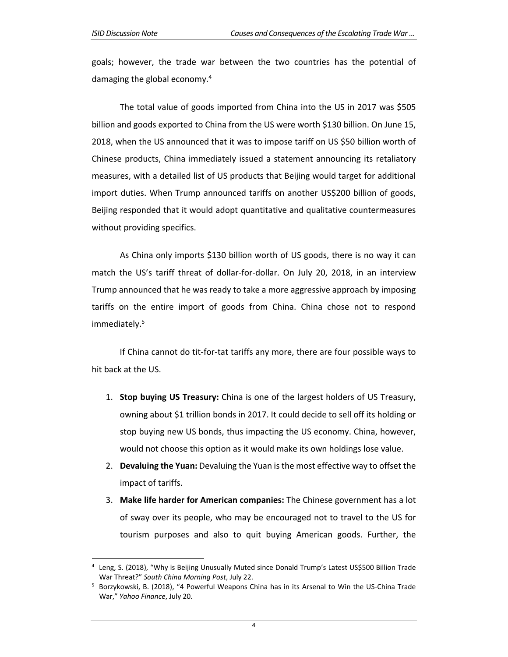l

goals; however, the trade war between the two countries has the potential of damaging the global economy.4

The total value of goods imported from China into the US in 2017 was \$505 billion and goods exported to China from the US were worth \$130 billion. On June 15, 2018, when the US announced that it was to impose tariff on US \$50 billion worth of Chinese products, China immediately issued a statement announcing its retaliatory measures, with a detailed list of US products that Beijing would target for additional import duties. When Trump announced tariffs on another US\$200 billion of goods, Beijing responded that it would adopt quantitative and qualitative countermeasures without providing specifics.

As China only imports \$130 billion worth of US goods, there is no way it can match the US's tariff threat of dollar-for-dollar. On July 20, 2018, in an interview Trump announced that he was ready to take a more aggressive approach by imposing tariffs on the entire import of goods from China. China chose not to respond immediately.<sup>5</sup>

If China cannot do tit‐for‐tat tariffs any more, there are four possible ways to hit back at the US.

- 1. **Stop buying US Treasury:** China is one of the largest holders of US Treasury, owning about \$1 trillion bonds in 2017. It could decide to sell off its holding or stop buying new US bonds, thus impacting the US economy. China, however, would not choose this option as it would make its own holdings lose value.
- 2. **Devaluing the Yuan:** Devaluing the Yuan is the most effective way to offset the impact of tariffs.
- 3. **Make life harder for American companies:** The Chinese government has a lot of sway over its people, who may be encouraged not to travel to the US for tourism purposes and also to quit buying American goods. Further, the

<sup>4</sup> Leng, S. (2018), "Why is Beijing Unusually Muted since Donald Trump's Latest US\$500 Billion Trade War Threat?" *South China Morning Post*, July 22.

<sup>&</sup>lt;sup>5</sup> Borzykowski, B. (2018), "4 Powerful Weapons China has in its Arsenal to Win the US-China Trade War," *Yahoo Finance*, July 20.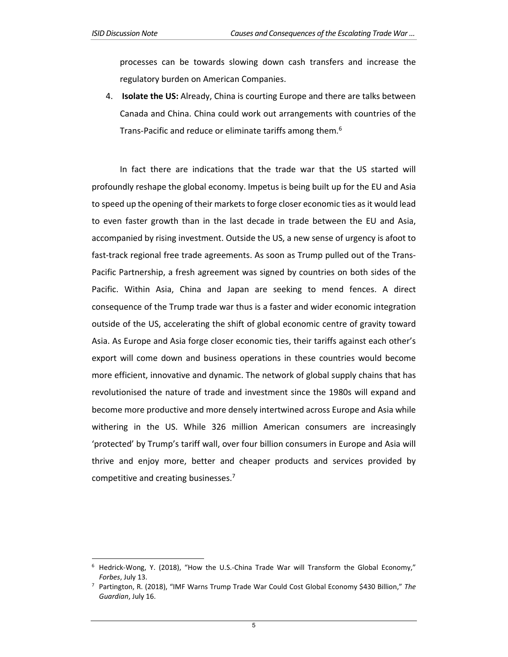l

processes can be towards slowing down cash transfers and increase the regulatory burden on American Companies.

4. **Isolate the US:** Already, China is courting Europe and there are talks between Canada and China. China could work out arrangements with countries of the Trans-Pacific and reduce or eliminate tariffs among them.<sup>6</sup>

In fact there are indications that the trade war that the US started will profoundly reshape the global economy. Impetus is being built up for the EU and Asia to speed up the opening of their markets to forge closer economic ties as it would lead to even faster growth than in the last decade in trade between the EU and Asia, accompanied by rising investment. Outside the US, a new sense of urgency is afoot to fast-track regional free trade agreements. As soon as Trump pulled out of the Trans-Pacific Partnership, a fresh agreement was signed by countries on both sides of the Pacific. Within Asia, China and Japan are seeking to mend fences. A direct consequence of the Trump trade war thus is a faster and wider economic integration outside of the US, accelerating the shift of global economic centre of gravity toward Asia. As Europe and Asia forge closer economic ties, their tariffs against each other's export will come down and business operations in these countries would become more efficient, innovative and dynamic. The network of global supply chains that has revolutionised the nature of trade and investment since the 1980s will expand and become more productive and more densely intertwined across Europe and Asia while withering in the US. While 326 million American consumers are increasingly 'protected' by Trump's tariff wall, over four billion consumers in Europe and Asia will thrive and enjoy more, better and cheaper products and services provided by competitive and creating businesses.7

<sup>6</sup> Hedrick-Wong, Y. (2018), "How the U.S.-China Trade War will Transform the Global Economy," *Forbes*, July 13.

<sup>7</sup> Partington, R. (2018), "IMF Warns Trump Trade War Could Cost Global Economy \$430 Billion," *The Guardian*, July 16.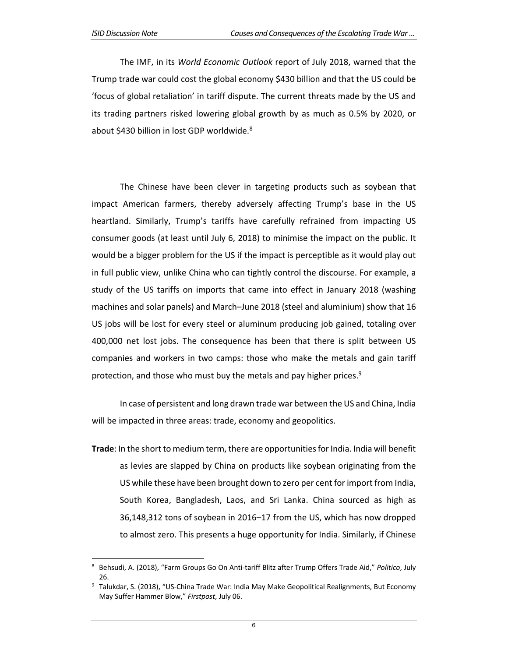l

The IMF, in its *World Economic Outlook* report of July 2018, warned that the Trump trade war could cost the global economy \$430 billion and that the US could be 'focus of global retaliation' in tariff dispute. The current threats made by the US and its trading partners risked lowering global growth by as much as 0.5% by 2020, or about \$430 billion in lost GDP worldwide.<sup>8</sup>

The Chinese have been clever in targeting products such as soybean that impact American farmers, thereby adversely affecting Trump's base in the US heartland. Similarly, Trump's tariffs have carefully refrained from impacting US consumer goods (at least until July 6, 2018) to minimise the impact on the public. It would be a bigger problem for the US if the impact is perceptible as it would play out in full public view, unlike China who can tightly control the discourse. For example, a study of the US tariffs on imports that came into effect in January 2018 (washing machines and solar panels) and March–June 2018 (steel and aluminium) show that 16 US jobs will be lost for every steel or aluminum producing job gained, totaling over 400,000 net lost jobs. The consequence has been that there is split between US companies and workers in two camps: those who make the metals and gain tariff protection, and those who must buy the metals and pay higher prices.<sup>9</sup>

In case of persistent and long drawn trade war between the US and China, India will be impacted in three areas: trade, economy and geopolitics.

**Trade**: In the short to medium term, there are opportunities for India. India will benefit as levies are slapped by China on products like soybean originating from the US while these have been brought down to zero per cent for import from India, South Korea, Bangladesh, Laos, and Sri Lanka. China sourced as high as 36,148,312 tons of soybean in 2016–17 from the US, which has now dropped to almost zero. This presents a huge opportunity for India. Similarly, if Chinese

<sup>8</sup> Behsudi, A. (2018), "Farm Groups Go On Anti‐tariff Blitz after Trump Offers Trade Aid," *Politico*, July 26.

<sup>&</sup>lt;sup>9</sup> Talukdar, S. (2018), "US-China Trade War: India May Make Geopolitical Realignments, But Economy May Suffer Hammer Blow," *Firstpost*, July 06.